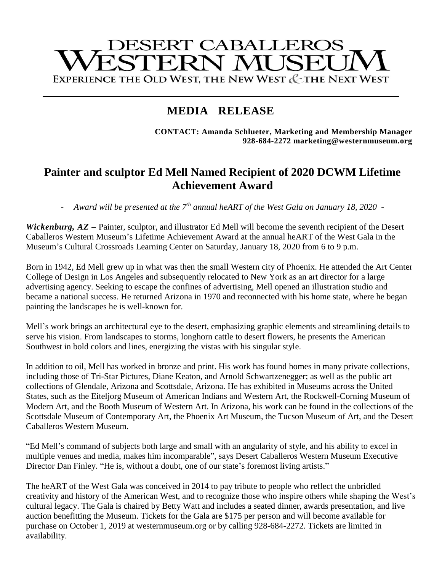# **DESERT CABALLEROS** ESTERN MUSEU EXPERIENCE THE OLD WEST, THE NEW WEST & THE NEXT WEST

## **MEDIA RELEASE**

**CONTACT: Amanda Schlueter, Marketing and Membership Manager 928-684-2272 marketing@westernmuseum.org**

### **Painter and sculptor Ed Mell Named Recipient of 2020 DCWM Lifetime Achievement Award**

- *Award will be presented at the 7 th annual heART of the West Gala on January 18, 2020 -*

*Wickenburg, AZ* **–** Painter, sculptor, and illustrator Ed Mell will become the seventh recipient of the Desert Caballeros Western Museum's Lifetime Achievement Award at the annual heART of the West Gala in the Museum's Cultural Crossroads Learning Center on Saturday, January 18, 2020 from 6 to 9 p.m.

Born in 1942, Ed Mell grew up in what was then the small Western city of Phoenix. He attended the Art Center College of Design in Los Angeles and subsequently relocated to New York as an art director for a large advertising agency. Seeking to escape the confines of advertising, Mell opened an illustration studio and became a national success. He returned Arizona in 1970 and reconnected with his home state, where he began painting the landscapes he is well-known for.

Mell's work brings an architectural eye to the desert, emphasizing graphic elements and streamlining details to serve his vision. From landscapes to storms, longhorn cattle to desert flowers, he presents the American Southwest in bold colors and lines, energizing the vistas with his singular style.

In addition to oil, Mell has worked in bronze and print. His work has found homes in many private collections, including those of Tri-Star Pictures, Diane Keaton, and Arnold Schwartzenegger; as well as the public art collections of Glendale, Arizona and Scottsdale, Arizona. He has exhibited in Museums across the United States, such as the Eiteljorg Museum of American Indians and Western Art, the Rockwell-Corning Museum of Modern Art, and the Booth Museum of Western Art. In Arizona, his work can be found in the collections of the Scottsdale Museum of Contemporary Art, the Phoenix Art Museum, the Tucson Museum of Art, and the Desert Caballeros Western Museum.

"Ed Mell's command of subjects both large and small with an angularity of style, and his ability to excel in multiple venues and media, makes him incomparable", says Desert Caballeros Western Museum Executive Director Dan Finley. "He is, without a doubt, one of our state's foremost living artists."

The heART of the West Gala was conceived in 2014 to pay tribute to people who reflect the unbridled creativity and history of the American West, and to recognize those who inspire others while shaping the West's cultural legacy. The Gala is chaired by Betty Watt and includes a seated dinner, awards presentation, and live auction benefitting the Museum. Tickets for the Gala are \$175 per person and will become available for purchase on October 1, 2019 at westernmuseum.org or by calling 928-684-2272. Tickets are limited in availability.